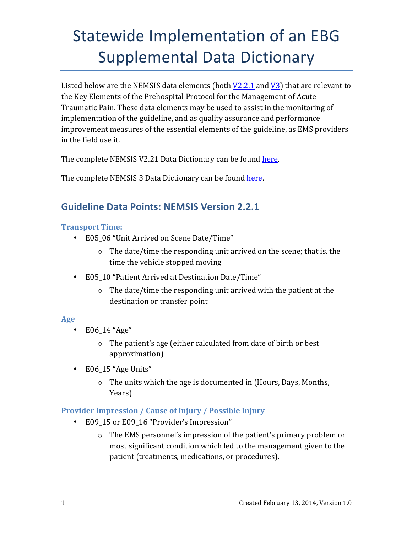Listed below are the NEMSIS data elements (both  $V2.2.1$  and  $V3$ ) that are relevant to the Key Elements of the Prehospital Protocol for the Management of Acute Traumatic Pain. These data elements may be used to assist in the monitoring of implementation of the guideline, and as quality assurance and performance improvement measures of the essential elements of the guideline, as EMS providers in the field use it.

The complete NEMSIS V2.21 Data Dictionary can be found here.

The complete NEMSIS 3 Data Dictionary can be found here.

## **Guideline Data Points: NEMSIS Version 2.2.1**

## **Transport Time:**

- E05 06 "Unit Arrived on Scene Date/Time"
	- $\circ$  The date/time the responding unit arrived on the scene; that is, the time the vehicle stopped moving
- E05\_10 "Patient Arrived at Destination Date/Time"
	- $\circ$  The date/time the responding unit arrived with the patient at the destination or transfer point

## **Age**

- E06 14 "Age"
	- $\circ$  The patient's age (either calculated from date of birth or best approximation)
- E06\_15 "Age Units"
	- $\circ$  The units which the age is documented in (Hours, Days, Months, Years)

## **Provider Impression / Cause of Injury / Possible Injury**

- E09\_15 or E09\_16 "Provider's Impression"
	- $\circ$  The EMS personnel's impression of the patient's primary problem or most significant condition which led to the management given to the patient (treatments, medications, or procedures).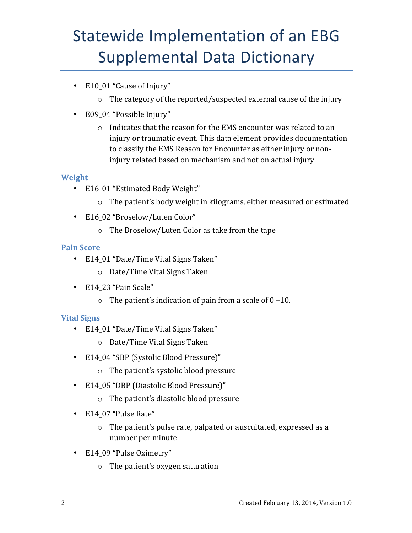- E10 01 "Cause of Injury"
	- $\circ$  The category of the reported/suspected external cause of the injury
- E09\_04 "Possible Injury"
	- $\circ$  Indicates that the reason for the EMS encounter was related to an injury or traumatic event. This data element provides documentation to classify the EMS Reason for Encounter as either injury or noninjury related based on mechanism and not on actual injury

## **Weight**

- E16\_01 "Estimated Body Weight"
	- $\circ$  The patient's body weight in kilograms, either measured or estimated
- E16 02 "Broselow/Luten Color"
	- $\circ$  The Broselow/Luten Color as take from the tape

## **Pain Score**

- E14\_01 "Date/Time Vital Signs Taken"
	- $\circ$  Date/Time Vital Signs Taken
- E14\_23 "Pain Scale"
	- $\circ$  The patient's indication of pain from a scale of 0 –10.

## **Vital Signs**

- E14\_01 "Date/Time Vital Signs Taken"
	- o Date/Time Vital Signs Taken
- E14\_04 "SBP (Systolic Blood Pressure)"
	- $\circ$  The patient's systolic blood pressure
- E14\_05 "DBP (Diastolic Blood Pressure)"
	- $\circ$  The patient's diastolic blood pressure
- E14 07 "Pulse Rate"
	- $\circ$  The patient's pulse rate, palpated or auscultated, expressed as a number per minute
- E14\_09 "Pulse Oximetry"
	- $\circ$  The patient's oxygen saturation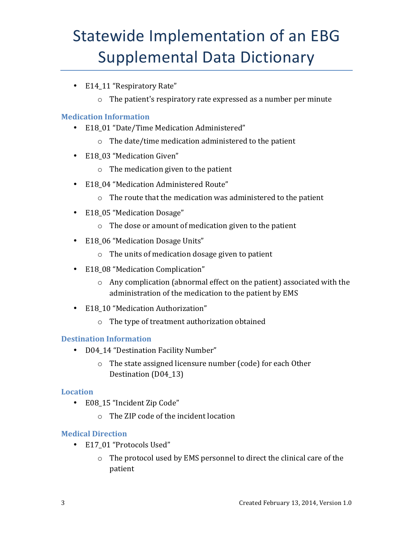- E14 11 "Respiratory Rate"
	- $\circ$  The patient's respiratory rate expressed as a number per minute

### **Medication Information**

- E18\_01 "Date/Time Medication Administered"
	- $\circ$  The date/time medication administered to the patient
- E18 03 "Medication Given"
	- $\circ$  The medication given to the patient
- E18\_04 "Medication Administered Route"
	- $\circ$  The route that the medication was administered to the patient
- E18\_05 "Medication Dosage"
	- $\circ$  The dose or amount of medication given to the patient
- E18\_06 "Medication Dosage Units"
	- $\circ$  The units of medication dosage given to patient
- E18\_08 "Medication Complication"
	- $\circ$  Any complication (abnormal effect on the patient) associated with the administration of the medication to the patient by EMS
- E18 10 "Medication Authorization"
	- $\circ$  The type of treatment authorization obtained

### **Destination Information**

- D04 14 "Destination Facility Number"
	- $\circ$  The state assigned licensure number (code) for each Other Destination (D04\_13)

### **Location**

- E08 15 "Incident Zip Code"
	- $\circ$  The ZIP code of the incident location

### **Medical Direction**

- E17 01 "Protocols Used"
	- $\circ$  The protocol used by EMS personnel to direct the clinical care of the patient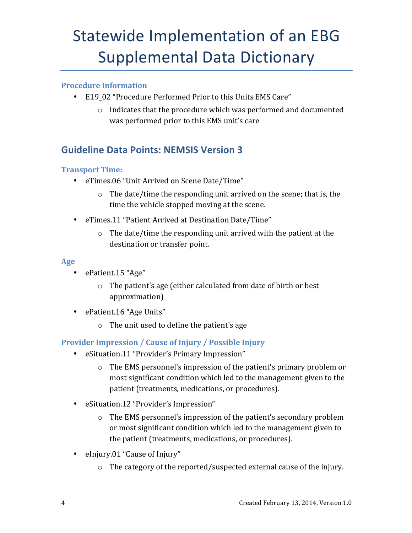## <span id="page-3-0"></span>**Procedure Information**

- E19 02 "Procedure Performed Prior to this Units EMS Care"
	- $\circ$  Indicates that the procedure which was performed and documented was performed prior to this EMS unit's care

## **Guideline Data Points: NEMSIS Version 3**

## **Transport Time:**

- eTimes.06 "Unit Arrived on Scene Date/Time"
	- $\circ$  The date/time the responding unit arrived on the scene; that is, the time the vehicle stopped moving at the scene.
- eTimes.11 "Patient Arrived at Destination Date/Time"
	- $\circ$  The date/time the responding unit arrived with the patient at the destination or transfer point.

### **Age**

- ePatient.15 "Age"
	- $\circ$  The patient's age (either calculated from date of birth or best approximation)
- ePatient.16 "Age Units"
	- $\circ$  The unit used to define the patient's age

## **Provider Impression / Cause of Injury / Possible Injury**

- eSituation.11 "Provider's Primary Impression"
	- $\circ$  The EMS personnel's impression of the patient's primary problem or most significant condition which led to the management given to the patient (treatments, medications, or procedures).
- eSituation.12 "Provider's Impression"
	- $\circ$  The EMS personnel's impression of the patient's secondary problem or most significant condition which led to the management given to the patient (treatments, medications, or procedures).
- eInjury.01 "Cause of Injury"
	- $\circ$  The category of the reported/suspected external cause of the injury.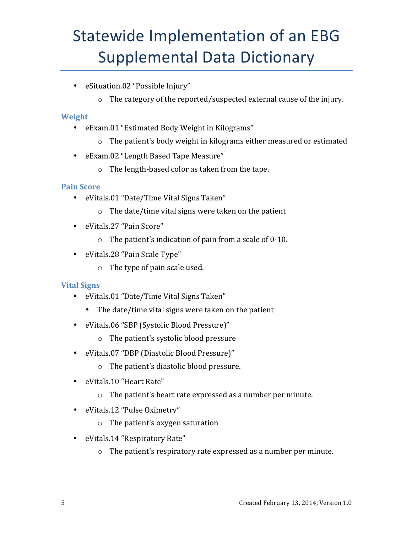- eSituation.02 "Possible Injury"
	- $\circ$  The category of the reported/suspected external cause of the injury.

### **Weight**

- eExam.01 "Estimated Body Weight in Kilograms"
	- $\circ$  The patient's body weight in kilograms either measured or estimated
- eExam.02 "Length Based Tape Measure"
	- $\circ$  The length-based color as taken from the tape.

### **Pain Score**

- eVitals.01 "Date/Time Vital Signs Taken"
	- $\circ$  The date/time vital signs were taken on the patient
- eVitals.27 "Pain Score"
	- $\circ$  The patient's indication of pain from a scale of 0-10.
- eVitals.28 "Pain Scale Type"
	- $\circ$  The type of pain scale used.

## **Vital Signs**

- eVitals.01 "Date/Time Vital Signs Taken"
	- The date/time vital signs were taken on the patient
- eVitals.06 "SBP (Systolic Blood Pressure)"
	- $\circ$  The patient's systolic blood pressure
- eVitals.07 "DBP (Diastolic Blood Pressure)"
	- $\circ$  The patient's diastolic blood pressure.
- eVitals.10 "Heart Rate"
	- $\circ$  The patient's heart rate expressed as a number per minute.
- eVitals.12 "Pulse Oximetry"
	- $\circ$  The patient's oxygen saturation
- eVitals.14 "Respiratory Rate"
	- $\circ$  The patient's respiratory rate expressed as a number per minute.